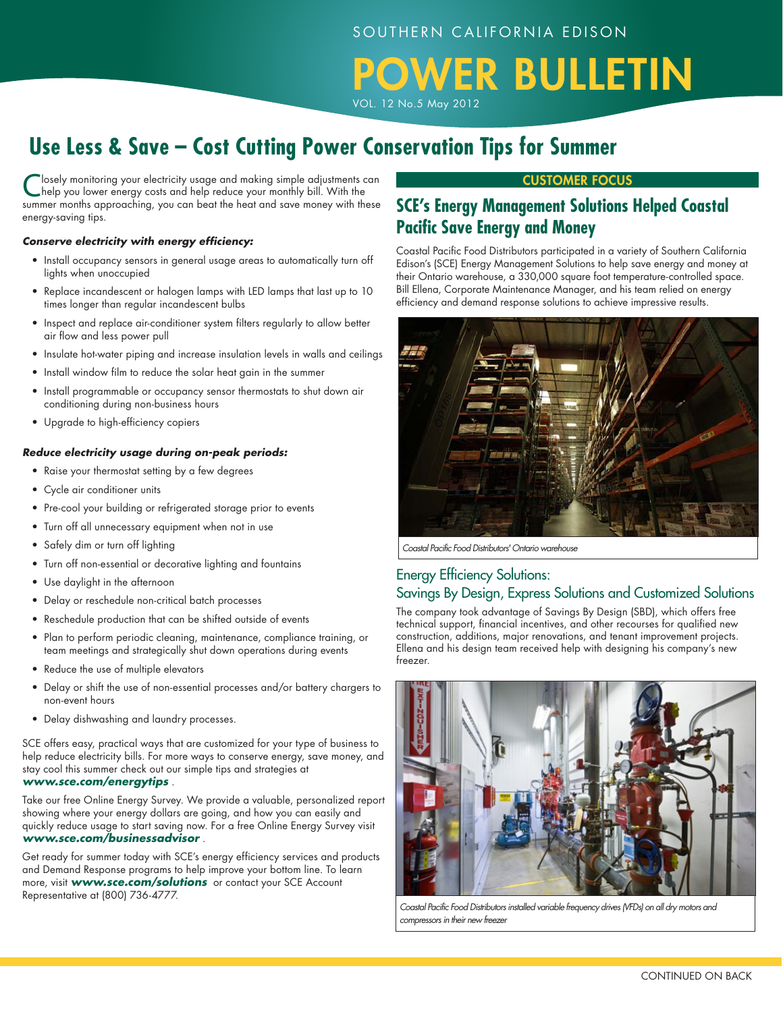# WER BULLETIN

VOL. 12 No.5 May 2012

# **Use Less & Save – Cost Cutting Power Conservation Tips for Summer**

losely monitoring your electricity usage and making simple adjustments can help you lower energy costs and help reduce your monthly bill. With the summer months approaching, you can beat the heat and save money with these energy-saving tips.

#### *Conserve electricity with energy efficiency:*

- Install occupancy sensors in general usage areas to automatically turn off lights when unoccupied
- Replace incandescent or halogen lamps with LED lamps that last up to 10 times longer than regular incandescent bulbs
- Inspect and replace air-conditioner system filters regularly to allow better air flow and less power pull
- Insulate hot-water piping and increase insulation levels in walls and ceilings
- Install window film to reduce the solar heat gain in the summer
- Install programmable or occupancy sensor thermostats to shut down air conditioning during non-business hours
- Upgrade to high-efficiency copiers

#### *Reduce electricity usage during on-peak periods:*

- Raise your thermostat setting by a few degrees
- Cycle air conditioner units
- Pre-cool your building or refrigerated storage prior to events
- Turn off all unnecessary equipment when not in use
- Safely dim or turn off lighting
- Turn off non-essential or decorative lighting and fountains
- Use daylight in the afternoon
- Delay or reschedule non-critical batch processes
- Reschedule production that can be shifted outside of events
- Plan to perform periodic cleaning, maintenance, compliance training, or team meetings and strategically shut down operations during events
- Reduce the use of multiple elevators
- Delay or shift the use of non-essential processes and/or battery chargers to non-event hours
- Delay dishwashing and laundry processes.

SCE offers easy, practical ways that are customized for your type of business to help reduce electricity bills. For more ways to conserve energy, save money, and stay cool this summer check out our simple tips and strategies at *www.sce.com/energytips* .

Take our free Online Energy Survey. We provide a valuable, personalized report showing where your energy dollars are going, and how you can easily and quickly reduce usage to start saving now. For a free Online Energy Survey visit *www.sce.com/businessadvisor* .

Get ready for summer today with SCE's energy efficiency services and products and Demand Response programs to help improve your bottom line. To learn more, visit *www.sce.com/solutions* or contact your SCE Account Representative at (800) 736-4777.

### CUSTOMER Focus

# **SCE's Energy Management Solutions Helped Coastal Pacific Save Energy and Money**

Coastal Pacific Food Distributors participated in a variety of Southern California Edison's (SCE) Energy Management Solutions to help save energy and money at their Ontario warehouse, a 330,000 square foot temperature-controlled space. Bill Ellena, Corporate Maintenance Manager, and his team relied on energy efficiency and demand response solutions to achieve impressive results.



*Coastal Pacific Food Distributors' Ontario warehouse*

## Energy Efficiency Solutions: Savings By Design, Express Solutions and Customized Solutions

The company took advantage of Savings By Design (SBD), which offers free technical support, financial incentives, and other recourses for qualified new construction, additions, major renovations, and tenant improvement projects. Ellena and his design team received help with designing his company's new freezer.



*Coastal Pacific Food Distributors installed variable frequency drives (VFDs) on all dry motors and compressors in their new freezer*